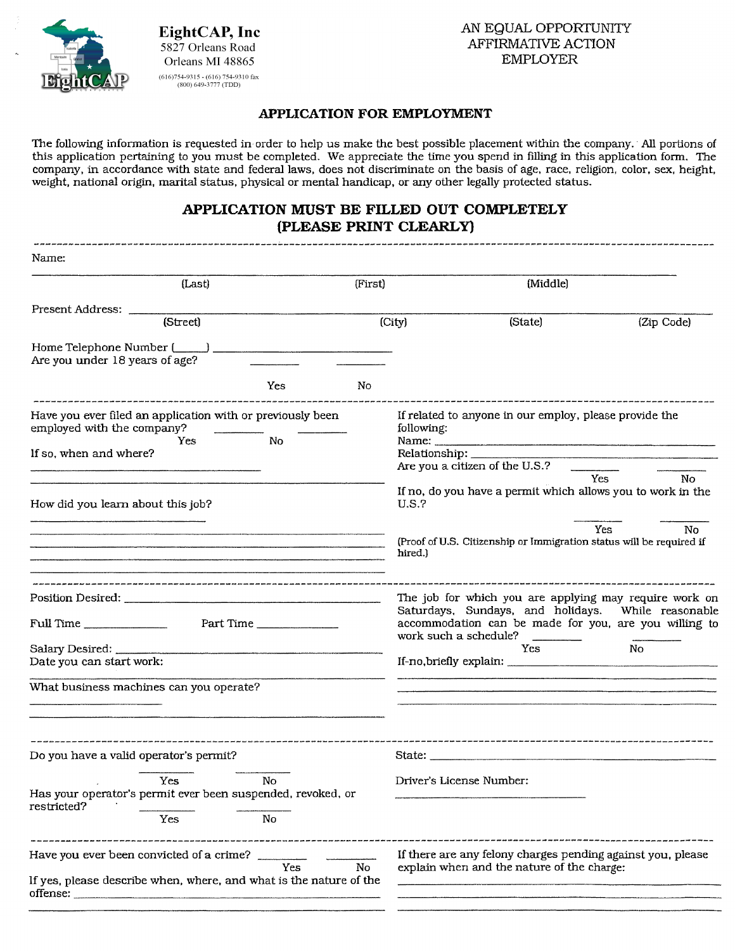

# EightCAP, Inc<br>
5827 Orleans Road<br>
Orleans MI 48865<br> **EXERTIBMATIVE ACTION**<br>
CAP<br>
<sup>(616)754-9315 • (616) 754-9310 fax<br>
(800) 649-3777 (IDD)</sup>

### **APPLICATION FOR EMPLOYMENT**

The following information is requested in order to help us make the best possible placement within the company. · All portions of this application pertaining to you must be completed. We appreciate the time you spend in filling in this application form. The company, in accordance with state and federal laws, does not discriminate on the basis of age, race, religion, color, sex, height, weight, national origin, marital status, physical or mental handicap, or any other legally protected status.

# **APPLICATION MUST BE FILLED OUT COMPLETELY (PLEASE PRINT CLEARLY)**

| Name:                                                                                                                       |                                                                                                                                                                                                |  |  |
|-----------------------------------------------------------------------------------------------------------------------------|------------------------------------------------------------------------------------------------------------------------------------------------------------------------------------------------|--|--|
| (Last)<br>(First)                                                                                                           | (Middle)                                                                                                                                                                                       |  |  |
| Present Address:<br>(Street)                                                                                                | (City)<br>(Zip Code)<br>(State)                                                                                                                                                                |  |  |
| Home Telephone Number (Company Company)<br>Are you under 18 years of age?                                                   |                                                                                                                                                                                                |  |  |
| Yes<br>No                                                                                                                   |                                                                                                                                                                                                |  |  |
| Have you ever filed an application with or previously been<br>employed with the company?                                    | If related to anyone in our employ, please provide the<br>following:                                                                                                                           |  |  |
| $\mathbf{N}\mathbf{o}$<br>Yes.<br>If so, when and where?                                                                    | Relationship: ______________<br>Are you a citizen of the U.S.?                                                                                                                                 |  |  |
| How did you learn about this job?                                                                                           | Yes<br>No.<br>If no, do you have a permit which allows you to work in the<br>U.S.?                                                                                                             |  |  |
|                                                                                                                             | Yes<br>No.<br>(Proof of U.S. Citizenship or Immigration status will be required if<br>hired.)                                                                                                  |  |  |
| Full Time                                                                                                                   | The job for which you are applying may require work on<br>Saturdays, Sundays, and holidays. While reasonable<br>accommodation can be made for you, are you willing to<br>work such a schedule? |  |  |
| Date you can start work:                                                                                                    | Yes.<br>No.                                                                                                                                                                                    |  |  |
| What business machines can you operate?                                                                                     |                                                                                                                                                                                                |  |  |
| Do you have a valid operator's permit?                                                                                      |                                                                                                                                                                                                |  |  |
| Yes<br>N <sub>o</sub><br>Has your operator's permit ever been suspended, revoked, or<br>restricted?<br>Yes<br>No            | Driver's License Number:                                                                                                                                                                       |  |  |
| Have you ever been convicted of a crime?<br>Yes<br>No<br>If yes, please describe when, where, and what is the nature of the | If there are any felony charges pending against you, please<br>explain when and the nature of the charge:                                                                                      |  |  |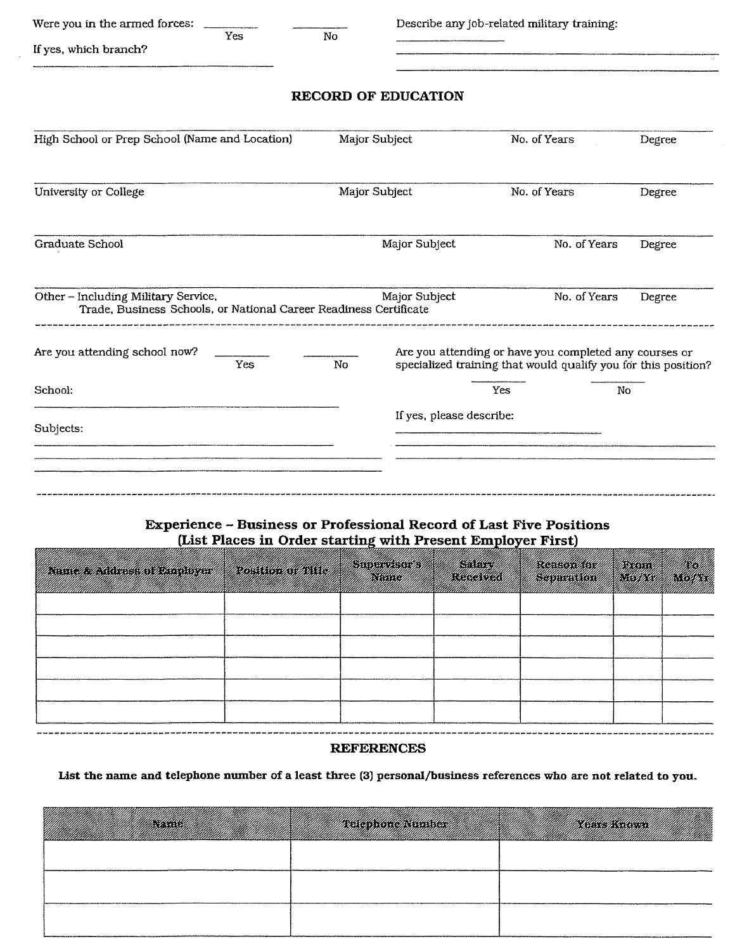| Were you in the armed forces:                                                                            |               |                            | Describe any job-related military training:                                                                              |        |
|----------------------------------------------------------------------------------------------------------|---------------|----------------------------|--------------------------------------------------------------------------------------------------------------------------|--------|
| Yes<br>If yes, which branch?                                                                             | No            |                            |                                                                                                                          |        |
|                                                                                                          |               | <b>RECORD OF EDUCATION</b> |                                                                                                                          |        |
| High School or Prep School (Name and Location)                                                           |               | Major Subject              | No. of Years                                                                                                             | Degree |
| University or College                                                                                    |               | Major Subject              | No. of Years                                                                                                             | Degree |
| Graduate School                                                                                          | Major Subject |                            | No. of Years                                                                                                             | Degree |
| Other - Including Military Service,<br>Trade, Business Schools, or National Career Readiness Certificate |               | Major Subject              | No. of Years                                                                                                             | Degree |
| Are you attending school now?<br>Yes                                                                     | No            |                            | Are you attending or have you completed any courses or<br>specialized training that would qualify you for this position? |        |
| School:                                                                                                  |               |                            | Yes<br>No                                                                                                                |        |
| Subjects:                                                                                                |               | If yes, please describe:   |                                                                                                                          |        |
|                                                                                                          |               |                            |                                                                                                                          |        |
|                                                                                                          |               |                            |                                                                                                                          |        |

# **Experience - Business or Professional Record of Last Five Positions**  (List Places in Order starting with Present Employer First)

| <u>Tarak di kacamatan di kacamatan di kacamatan di kacamatan di kacamatan di kacamatan di kacamatan di kacamatan</u><br>uniikkiin kiikkiin kuun muttiin kuun muttiin muttiin muttiin muttiin muttiin muttiin muttiin muttiin muttiin mu |  |
|-----------------------------------------------------------------------------------------------------------------------------------------------------------------------------------------------------------------------------------------|--|
|                                                                                                                                                                                                                                         |  |
|                                                                                                                                                                                                                                         |  |
|                                                                                                                                                                                                                                         |  |
|                                                                                                                                                                                                                                         |  |
|                                                                                                                                                                                                                                         |  |
|                                                                                                                                                                                                                                         |  |

#### **REFERENCES**

**List the name and telephone number of a least three** (3) **personal/business references who are not related to you.** 

|  | a katika matanggalan katika sa mga matanggalan ng mga matanggalan ng mga matanggalan ng mga mga matanggalan ng |
|--|----------------------------------------------------------------------------------------------------------------|
|  |                                                                                                                |
|  |                                                                                                                |
|  |                                                                                                                |